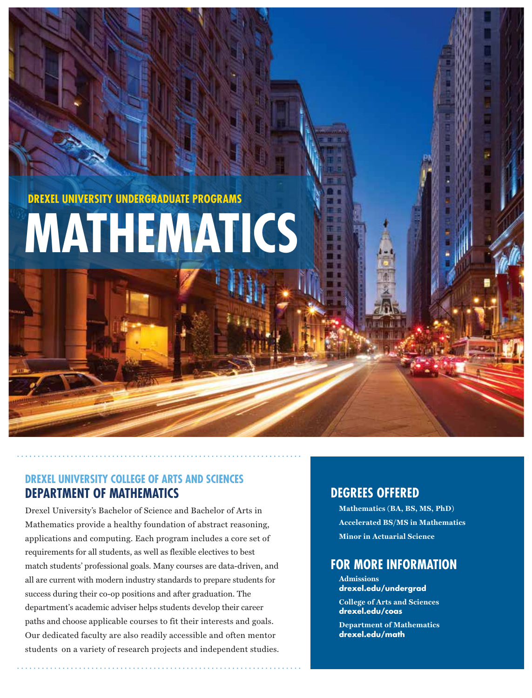**DREXEL UNIVERSITY UNDERGRADUATE PROGRAMS**

# **MATHEMATICS**

## **DREXEL UNIVERSITY COLLEGE OF ARTS AND SCIENCES DEPARTMENT OF MATHEMATICS**

Drexel University's Bachelor of Science and Bachelor of Arts in Mathematics provide a healthy foundation of abstract reasoning, applications and computing. Each program includes a core set of requirements for all students, as well as flexible electives to best match students' professional goals. Many courses are data-driven, and all are current with modern industry standards to prepare students for success during their co-op positions and after graduation. The department's academic adviser helps students develop their career paths and choose applicable courses to fit their interests and goals. Our dedicated faculty are also readily accessible and often mentor students on a variety of research projects and independent studies.

## **DEGREES OFFERED**

 $$ Accelerated BS/MS in Mathematics **Minor in Actuarial Science** 

# **FOR MORE INFORMATION**

- **Admissions drexel.edu/undergrad**
- **College of Arts and Sciences drexel.edu/coas**
- **Department of Mathematics drexel.edu/math**